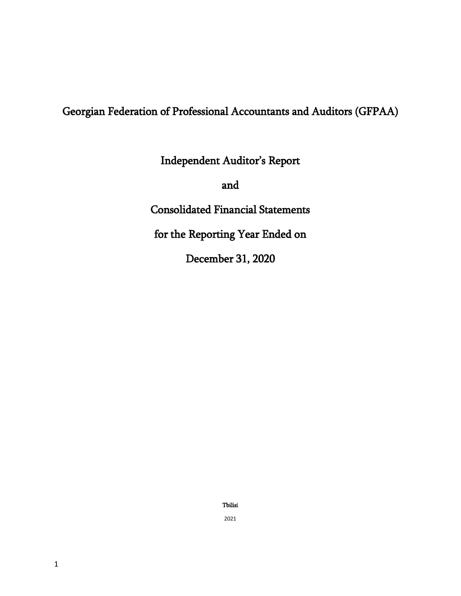# Georgian Federation of Professional Accountants and Auditors (GFPAA)

Independent Auditor's Report

and

Consolidated Financial Statements

for the Reporting Year Ended on

December 31, 2020

Tbilisi

2021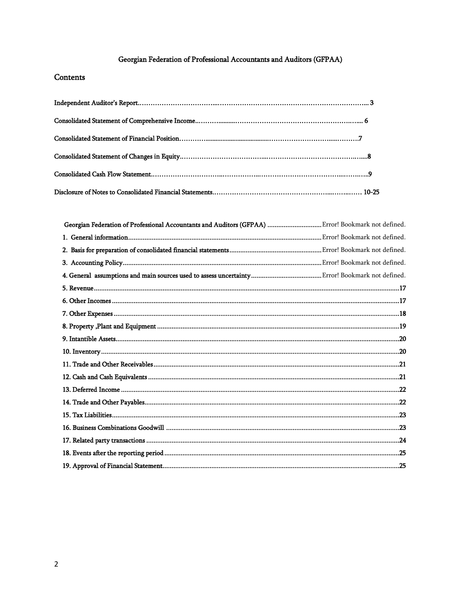# Georgian Federation of Professional Accountants and Auditors (GFPAA)

# Contents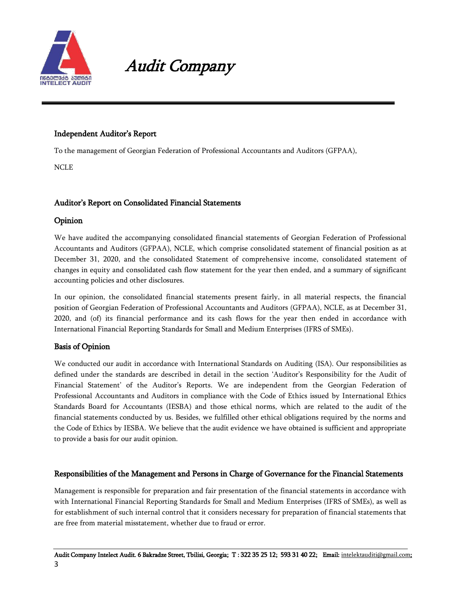

# Audit Company

# Independent Auditor"s Report

To the management of Georgian Federation of Professional Accountants and Auditors (GFPAA),

NCLE

# Auditor"s Report on Consolidated Financial Statements

# Opinion

We have audited the accompanying consolidated financial statements of Georgian Federation of Professional Accountants and Auditors (GFPAA), NCLE, which comprise consolidated statement of financial position as at December 31, 2020, and the consolidated Statement of comprehensive income, consolidated statement of changes in equity and consolidated cash flow statement for the year then ended, and a summary of significant accounting policies and other disclosures.

In our opinion, the consolidated financial statements present fairly, in all material respects, the financial position of Georgian Federation of Professional Accountants and Auditors (GFPAA), NCLE, as at December 31, 2020, and (of) its financial performance and its cash flows for the year then ended in accordance with International Financial Reporting Standards for Small and Medium Enterprises (IFRS of SMEs).

# Basis of Opinion

We conducted our audit in accordance with International Standards on Auditing (ISA). Our responsibilities as defined under the standards are described in detail in the section "Auditor"s Responsibility for the Audit of Financial Statement' of the Auditor's Reports. We are independent from the Georgian Federation of Professional Accountants and Auditors in compliance with the Code of Ethics issued by International Ethics Standards Board for Accountants (IESBA) and those ethical norms, which are related to the audit of the financial statements conducted by us. Besides, we fulfilled other ethical obligations required by the norms and the Code of Ethics by IESBA. We believe that the audit evidence we have obtained is sufficient and appropriate to provide a basis for our audit opinion.

# Responsibilities of the Management and Persons in Charge of Governance for the Financial Statements

Management is responsible for preparation and fair presentation of the financial statements in accordance with with International Financial Reporting Standards for Small and Medium Enterprises (IFRS of SMEs), as well as for establishment of such internal control that it considers necessary for preparation of financial statements that are free from material misstatement, whether due to fraud or error.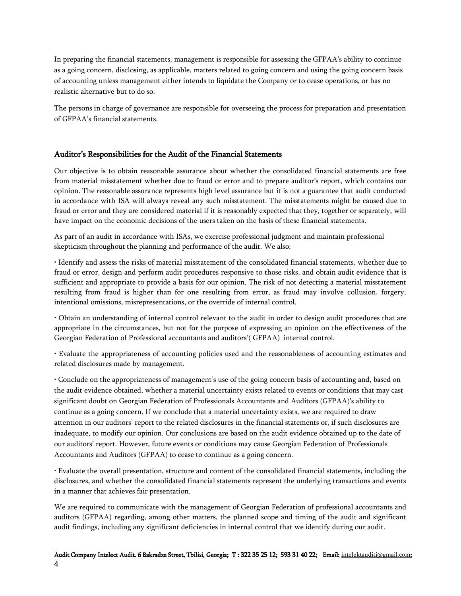In preparing the financial statements, management is responsible for assessing the GFPAA"s ability to continue as a going concern, disclosing, as applicable, matters related to going concern and using the going concern basis of accounting unless management either intends to liquidate the Company or to cease operations, or has no realistic alternative but to do so.

The persons in charge of governance are responsible for overseeing the process for preparation and presentation of GFPAA"s financial statements.

# Auditor"s Responsibilities for the Audit of the Financial Statements

Our objective is to obtain reasonable assurance about whether the consolidated financial statements are free from material misstatement whether due to fraud or error and to prepare auditor"s report, which contains our opinion. The reasonable assurance represents high level assurance but it is not a guarantee that audit conducted in accordance with ISA will always reveal any such misstatement. The misstatements might be caused due to fraud or error and they are considered material if it is reasonably expected that they, together or separately, will have impact on the economic decisions of the users taken on the basis of these financial statements.

As part of an audit in accordance with ISAs, we exercise professional judgment and maintain professional skepticism throughout the planning and performance of the audit. We also:

• Identify and assess the risks of material misstatement of the consolidated financial statements, whether due to fraud or error, design and perform audit procedures responsive to those risks, and obtain audit evidence that is sufficient and appropriate to provide a basis for our opinion. The risk of not detecting a material misstatement resulting from fraud is higher than for one resulting from error, as fraud may involve collusion, forgery, intentional omissions, misrepresentations, or the override of internal control.

• Obtain an understanding of internal control relevant to the audit in order to design audit procedures that are appropriate in the circumstances, but not for the purpose of expressing an opinion on the effectiveness of the Georgian Federation of Professional accountants and auditors"( GFPAA) internal control.

• Evaluate the appropriateness of accounting policies used and the reasonableness of accounting estimates and related disclosures made by management.

• Conclude on the appropriateness of management"s use of the going concern basis of accounting and, based on the audit evidence obtained, whether a material uncertainty exists related to events or conditions that may cast significant doubt on Georgian Federation of Professionals Accountants and Auditors (GFPAA)'s ability to continue as a going concern. If we conclude that a material uncertainty exists, we are required to draw attention in our auditors" report to the related disclosures in the financial statements or, if such disclosures are inadequate, to modify our opinion. Our conclusions are based on the audit evidence obtained up to the date of our auditors" report. However, future events or conditions may cause Georgian Federation of Professionals Accountants and Auditors (GFPAA) to cease to continue as a going concern.

• Evaluate the overall presentation, structure and content of the consolidated financial statements, including the disclosures, and whether the consolidated financial statements represent the underlying transactions and events in a manner that achieves fair presentation.

We are required to communicate with the management of Georgian Federation of professional accountants and auditors (GFPAA) regarding, among other matters, the planned scope and timing of the audit and significant audit findings, including any significant deficiencies in internal control that we identify during our audit.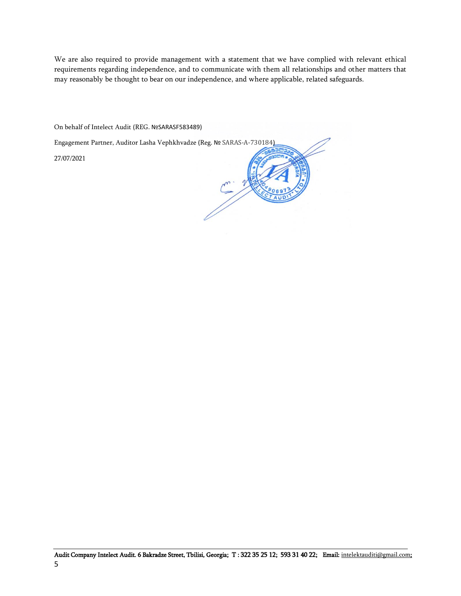We are also required to provide management with a statement that we have complied with relevant ethical requirements regarding independence, and to communicate with them all relationships and other matters that may reasonably be thought to bear on our independence, and where applicable, related safeguards.

On behalf of Intelect Audit (REG. №SARASF583489)

Engagement Partner, Auditor Lasha Vephkhvadze (Reg. № SARAS-A-730184)

27/07/2021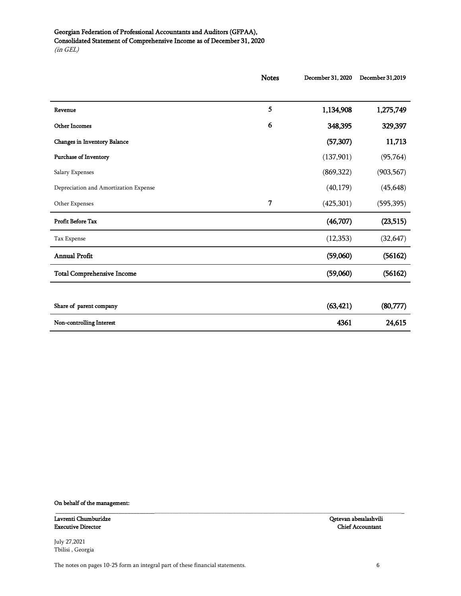# Georgian Federation of Professional Accountants and Auditors (GFPAA), Consolidated Statement of Comprehensive Income as of December 31, 2020 (in GEL)

| <b>Notes</b>   | December 31, 2020 | December 31,2019 |
|----------------|-------------------|------------------|
|                |                   |                  |
| 5              | 1,134,908         | 1,275,749        |
| 6              | 348,395           | 329,397          |
|                | (57, 307)         | 11,713           |
|                | (137,901)         | (95, 764)        |
|                | (869, 322)        | (903, 567)       |
|                | (40, 179)         | (45, 648)        |
| $\overline{7}$ | (425, 301)        | (595, 395)       |
|                | (46,707)          | (23, 515)        |
|                | (12, 353)         | (32, 647)        |
|                | (59,060)          | (56162)          |
|                | (59,060)          | (56162)          |
|                |                   |                  |
|                | (63, 421)         | (80, 777)        |
|                | 4361              | 24,615           |
|                |                   |                  |

\_\_\_\_\_\_\_\_\_\_\_\_\_\_\_\_\_\_\_\_\_\_\_\_\_\_\_\_\_\_\_\_\_\_\_\_\_\_\_\_\_\_\_\_\_\_\_\_\_\_\_\_\_\_\_\_\_\_\_\_\_\_\_\_\_\_\_\_\_\_\_\_\_\_\_\_\_\_\_\_\_\_\_\_\_\_\_\_\_\_\_\_\_\_\_\_\_\_\_\_\_\_\_\_\_\_\_\_\_\_\_\_\_\_\_\_

#### On behalf of the management:

Lavrenti Chumburidze Qetevan abesalashvili Executive Director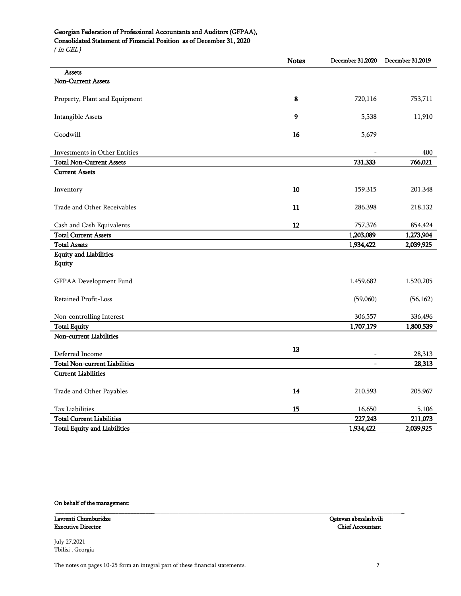# Georgian Federation of Professional Accountants and Auditors (GFPAA),

Consolidated Statement of Financial Position as of December 31, 2020

*(* in GEL *)*

|                                      | <b>Notes</b> | December 31,2020 | December 31,2019 |
|--------------------------------------|--------------|------------------|------------------|
| <b>Assets</b>                        |              |                  |                  |
| <b>Non-Current Assets</b>            |              |                  |                  |
| Property, Plant and Equipment        | 8            | 720,116          | 753,711          |
|                                      |              |                  |                  |
| Intangible Assets                    | 9            | 5,538            | 11,910           |
| Goodwill                             | 16           | 5,679            |                  |
| Investments in Other Entities        |              |                  | 400              |
| <b>Total Non-Current Assets</b>      |              | 731,333          | 766,021          |
| <b>Current Assets</b>                |              |                  |                  |
|                                      |              |                  |                  |
| Inventory                            | 10           | 159,315          | 201,348          |
| Trade and Other Receivables          | 11           | 286,398          | 218,132          |
|                                      |              |                  |                  |
| Cash and Cash Equivalents            | 12           | 757,376          | 854,424          |
| <b>Total Current Assets</b>          |              | 1,203,089        | 1,273,904        |
| <b>Total Assets</b>                  |              | 1,934,422        | 2,039,925        |
| <b>Equity and Liabilities</b>        |              |                  |                  |
| Equity                               |              |                  |                  |
| GFPAA Development Fund               |              | 1,459,682        | 1,520,205        |
| Retained Profit-Loss                 |              | (59,060)         | (56, 162)        |
| Non-controlling Interest             |              | 306,557          | 336,496          |
| <b>Total Equity</b>                  |              | 1,707,179        | 1,800,539        |
| Non-current Liabilities              |              |                  |                  |
| Deferred Income                      | 13           |                  | 28,313           |
| <b>Total Non-current Liabilities</b> |              |                  | 28,313           |
| <b>Current Liabilities</b>           |              |                  |                  |
| Trade and Other Payables             | 14           | 210,593          | 205,967          |
|                                      |              |                  |                  |
| Tax Liabilities                      | 15           | 16,650           | 5,106            |
| <b>Total Current Liabilities</b>     |              | 227,243          | 211,073          |
| <b>Total Equity and Liabilities</b>  |              | 1,934,422        | 2,039,925        |

\_\_\_\_\_\_\_\_\_\_\_\_\_\_\_\_\_\_\_\_\_\_\_\_\_\_\_\_\_\_\_\_\_\_\_\_\_\_\_\_\_\_\_\_\_\_\_\_\_\_\_\_\_\_\_\_\_\_\_\_\_\_\_\_\_\_\_\_\_\_\_\_\_\_\_\_\_\_\_\_\_\_\_\_\_\_\_\_\_\_\_\_\_\_\_\_\_\_\_\_\_\_\_\_\_\_\_\_\_\_\_\_\_\_\_\_

# On behalf of the management:

Lavrenti Chumburidze Qetevan abesalashvili Executive Director

July 27,2021 Tbilisi , Georgia

The notes on pages 10-25 form an integral part of these financial statements. 7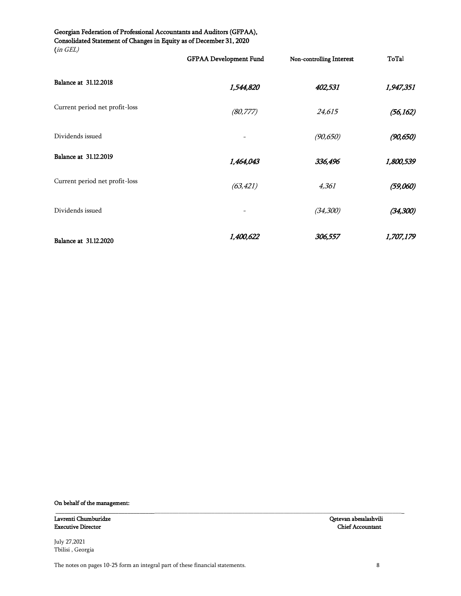#### Georgian Federation of Professional Accountants and Auditors (GFPAA), Consolidated Statement of Changes in Equity as of December 31, 2020 (in GEL)

| $\mu$                          | <b>GFPAA Development Fund</b> | Non-controlling Interest | ToTal     |
|--------------------------------|-------------------------------|--------------------------|-----------|
| Balance at 31.12.2018          | 1,544,820                     | 402,531                  | 1,947,351 |
| Current period net profit-loss | (80, 777)                     | 24,615                   | (56, 162) |
| Dividends issued               |                               | (90, 650)                | (90, 650) |
| Balance at 31.12.2019          | 1,464,043                     | 336,496                  | 1,800,539 |
| Current period net profit-loss | (63, 421)                     | 4,361                    | (59,060)  |
| Dividends issued               |                               | (34, 300)                | (34, 300) |
| Balance at 31.12.2020          | 1,400,622                     | 306,557                  | 1,707,179 |

\_\_\_\_\_\_\_\_\_\_\_\_\_\_\_\_\_\_\_\_\_\_\_\_\_\_\_\_\_\_\_\_\_\_\_\_\_\_\_\_\_\_\_\_\_\_\_\_\_\_\_\_\_\_\_\_\_\_\_\_\_\_\_\_\_\_\_\_\_\_\_\_\_\_\_\_\_\_\_\_\_\_\_\_\_\_\_\_\_\_\_\_\_\_\_\_\_\_\_\_\_\_\_\_\_\_\_\_\_\_\_\_\_\_\_\_

On behalf of the management:

Lavrenti Chumburidze Qetevan abesalashvili Executive Director

July 27,2021 Tbilisi , Georgia

The notes on pages 10-25 form an integral part of these financial statements. 8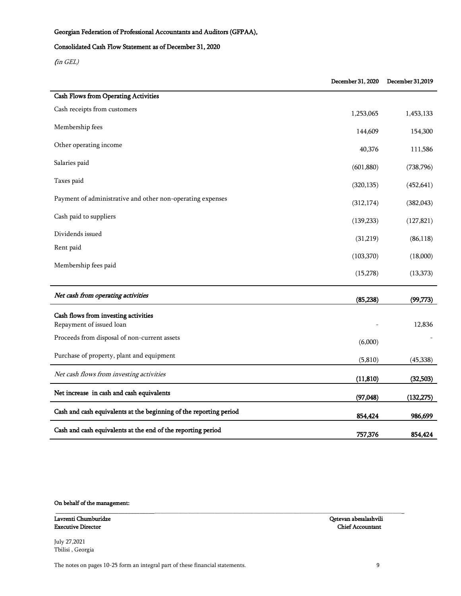# Georgian Federation of Professional Accountants and Auditors (GFPAA),

### Consolidated Cash Flow Statement as of December 31, 2020

(in GEL)

|                                                                    | December 31, 2020 | December 31,2019 |
|--------------------------------------------------------------------|-------------------|------------------|
| <b>Cash Flows from Operating Activities</b>                        |                   |                  |
| Cash receipts from customers                                       | 1,253,065         | 1,453,133        |
| Membership fees                                                    | 144,609           | 154,300          |
| Other operating income                                             | 40,376            | 111,586          |
| Salaries paid                                                      | (601, 880)        | (738, 796)       |
| Taxes paid                                                         | (320, 135)        | (452, 641)       |
| Payment of administrative and other non-operating expenses         | (312, 174)        | (382,043)        |
| Cash paid to suppliers                                             | (139, 233)        | (127, 821)       |
| Dividends issued                                                   | (31,219)          | (86,118)         |
| Rent paid                                                          | (103, 370)        | (18,000)         |
| Membership fees paid                                               | (15, 278)         | (13, 373)        |
|                                                                    |                   |                  |
| Net cash from operating activities                                 | (85, 238)         | (99, 773)        |
| Cash flows from investing activities                               |                   |                  |
| Repayment of issued loan                                           |                   | 12,836           |
| Proceeds from disposal of non-current assets                       | (6,000)           |                  |
| Purchase of property, plant and equipment                          | (5, 810)          | (45, 338)        |
| Net cash flows from investing activities                           | (11, 810)         | (32,503)         |
| Net increase in cash and cash equivalents                          | (97, 048)         | (132, 275)       |
| Cash and cash equivalents at the beginning of the reporting period | 854,424           | 986,699          |
| Cash and cash equivalents at the end of the reporting period       | 757,376           | 854,424          |

\_\_\_\_\_\_\_\_\_\_\_\_\_\_\_\_\_\_\_\_\_\_\_\_\_\_\_\_\_\_\_\_\_\_\_\_\_\_\_\_\_\_\_\_\_\_\_\_\_\_\_\_\_\_\_\_\_\_\_\_\_\_\_\_\_\_\_\_\_\_\_\_\_\_\_\_\_\_\_\_\_\_\_\_\_\_\_\_\_\_\_\_\_\_\_\_\_\_\_\_\_\_\_\_\_\_\_\_\_\_\_\_\_\_\_\_

### On behalf of the management:

Lavrenti Chumburidze Qetevan abesalashvili Executive Director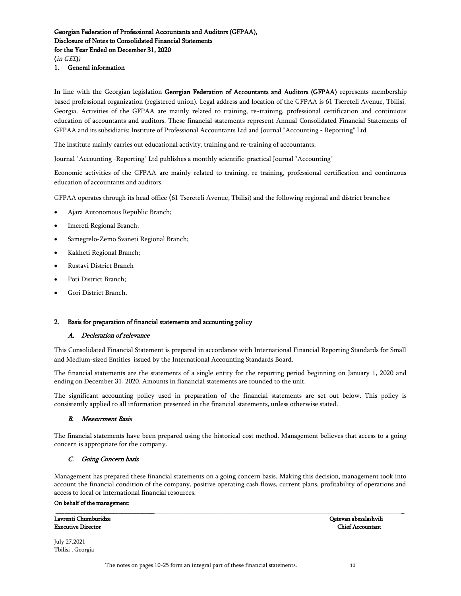(in GEL)*)*

1. General information

In line with the Georgian legislation Georgian Federation of Accountants and Auditors (GFPAA) represents membership based professional organization (registered union). Legal address and location of the GFPAA is 61 Tsereteli Avenue, Tbilisi, Georgia. Activities of the GFPAA are mainly related to training, re-training, professional certification and continuous education of accountants and auditors. These financial statements represent Annual Consolidated Financial Statements of GFPAA and its subsidiaris: Institute of Professional Accountants Ltd and Journal "Accounting - Reporting" Ltd

The institute mainly carries out educational activity, training and re-training of accountants.

Journal "Accounting -Reporting" Ltd publishes a monthly scientific-practical Journal "Accounting"

Economic activities of the GFPAA are mainly related to training, re-training, professional certification and continuous education of accountants and auditors.

GFPAA operates through its head office (61 Tsereteli Avenue, Tbilisi) and the following regional and district branches:

- Ajara Autonomous Republic Branch;
- Imereti Regional Branch;
- Samegrelo-Zemo Svaneti Regional Branch;
- Kakheti Regional Branch;
- Rustavi District Branch
- Poti District Branch;
- Gori District Branch.

#### 2. Basis for preparation of financial statements and accounting policy

#### A. Decleration of relevance

This Consolidated Financial Statement is prepared in accordance with International Financial Reporting Standards for Small and Medium-sized Entities issued by the International Accounting Standards Board.

The financial statements are the statements of a single entity for the reporting period beginning on January 1, 2020 and ending on December 31, 2020. Amounts in fianancial statements are rounded to the unit.

The significant accounting policy used in preparation of the financial statements are set out below. This policy is consistently applied to all information presented in the financial statements, unless otherwise stated.

#### B. Measurment Basis

The financial statements have been prepared using the historical cost method. Management believes that access to a going concern is appropriate for the company.

#### C. Going Concern basis

Management has prepared these financial statements on a going concern basis. Making this decision, management took into account the financial condition of the company, positive operating cash flows, current plans, profitability of operations and access to local or international financial resources.

\_\_\_\_\_\_\_\_\_\_\_\_\_\_\_\_\_\_\_\_\_\_\_\_\_\_\_\_\_\_\_\_\_\_\_\_\_\_\_\_\_\_\_\_\_\_\_\_\_\_\_\_\_\_\_\_\_\_\_\_\_\_\_\_\_\_\_\_\_\_\_\_\_\_\_\_\_\_\_\_\_\_\_\_\_\_\_\_\_\_\_\_\_\_\_\_\_\_\_\_\_\_\_\_\_\_\_\_\_\_\_\_\_\_\_\_

#### On behalf of the management:

**Executive Director** 

Lavrenti Chumburidze Qetevan abesalashvili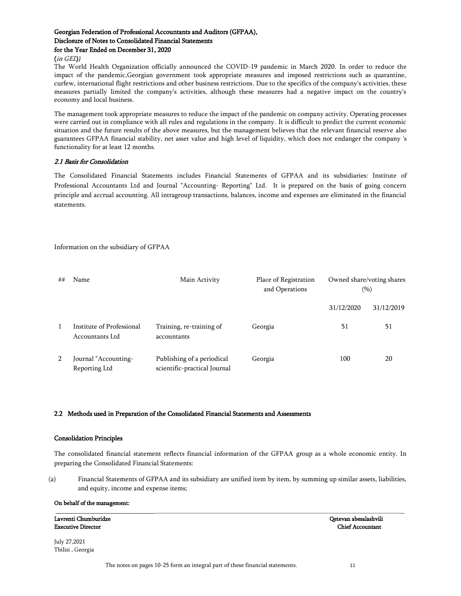#### (in GEL)*)*

The World Health Organization officially announced the COVID-19 pandemic in March 2020. In order to reduce the impact of the pandemic,Georgian government took appropriate measures and imposed restrictions such as quarantine, curfew, international flight restrictions and other business restrictions. Due to the specifics of the company's activities, these measures partially limited the company's activities, although these measures had a negative impact on the country's economy and local business.

The management took appropriate measures to reduce the impact of the pandemic on company activity. Operating processes were carried out in compliance with all rules and regulations in the company. It is difficult to predict the current economic situation and the future results of the above measures, but the management believes that the relevant financial reserve also guarantees GFPAA financial stability, net asset value and high level of liquidity, which does not endanger the company 's functionality for at least 12 months.

#### 2.1 Basis for Consolidation

The Consolidated Financial Statements includes Financial Statements of GFPAA and its subsidiaries: Institute of Professional Accountants Ltd and Journal "Accounting- Reporting" Ltd. It is prepared on the basis of going concern principle and accrual accounting. All intragroup transactions, balances, income and expenses are eliminated in the financial statements.

Information on the subsidiary of GFPAA

| ## | Name                                         | Main Activity                                              | Place of Registration<br>and Operations |            | Owned share/voting shares<br>$(\%)$ |
|----|----------------------------------------------|------------------------------------------------------------|-----------------------------------------|------------|-------------------------------------|
|    |                                              |                                                            |                                         | 31/12/2020 | 31/12/2019                          |
| 1  | Institute of Professional<br>Accountants Ltd | Training, re-training of<br>accountants                    | Georgia                                 | 51         | 51                                  |
| 2  | Journal "Accounting-<br>Reporting Ltd        | Publishing of a periodical<br>scientific-practical Journal | Georgia                                 | 100        | 20                                  |

# 2.2 Methods used in Preparation of the Consolidated Financial Statements and Assessments

#### Consolidation Principles

The consolidated financial statement reflects financial information of the GFPAA group as a whole economic entity. In preparing the Consolidated Financial Statements:

(a) Financial Statements of GFPAA and its subsidiary are unified item by item, by summing up similar assets, liabilities, and equity, income and expense items;

\_\_\_\_\_\_\_\_\_\_\_\_\_\_\_\_\_\_\_\_\_\_\_\_\_\_\_\_\_\_\_\_\_\_\_\_\_\_\_\_\_\_\_\_\_\_\_\_\_\_\_\_\_\_\_\_\_\_\_\_\_\_\_\_\_\_\_\_\_\_\_\_\_\_\_\_\_\_\_\_\_\_\_\_\_\_\_\_\_\_\_\_\_\_\_\_\_\_\_\_\_\_\_\_\_\_\_\_\_\_\_\_\_\_\_\_

#### On behalf of the management:

Executive Director Chief Accountant

Lavrenti Chumburidze Qetevan abesalashvili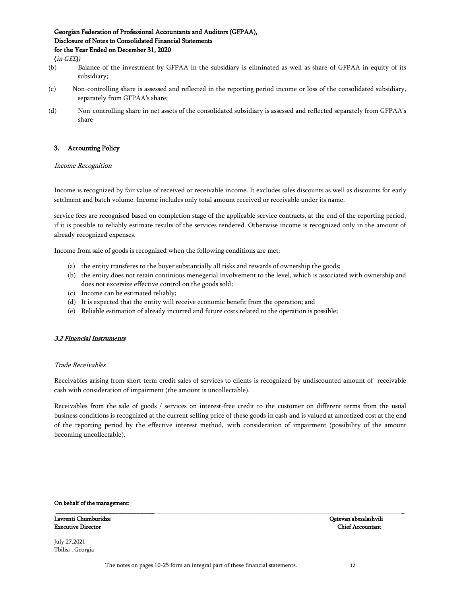(in GEL)*)*

- (b) Balance of the investment by GFPAA in the subsidiary is eliminated as well as share of GFPAA in equity of its subsidiary;
- (c) Non-controlling share is assessed and reflected in the reporting period income or loss of the consolidated subsidiary, separately from GFPAA's share;
- (d) Non-controlling share in net assets of the consolidated subsidiary is assessed and reflected separately from GFPAA"s share

# 3. Accounting Policy

#### Income Recognition

Income is recognized by fair value of received or receivable income. It excludes sales discounts as well as discounts for early settlment and batch volume. Income includes only total amount received or receivable under its name.

service fees are recognised based on completion stage of the applicable service contracts, at the end of the reporting period, if it is possible to reliably estimate results of the services rendered. Otherwise income is recognized only in the amount of already recognized expenses.

Income from sale of goods is recognized when the following conditions are met:

- (a) the entity transferes to the buyer substantially all risks and rewards of ownership the goods;
- (b) the entity does not retain continious menegerial involvement to the level, which is associated with ownership and does not excersize effective control on the goods sold;
- (c) Income can be estimated reliably;
- (d) It is expected that the entity will receive economic benefit from the operation; and
- (e) Reliable estimation of already incurred and future costs related to the operation is possible;

#### 3.2 Financial Instruments

#### Trade Receivables

Receivables arising from short term credit sales of services to clients is recognized by undiscounted amount of receivable cash with consideration of impairment (the amount is uncollectable).

Receivables from the sale of goods / services on interest-free credit to the customer on different terms from the usual business conditions is recognized at the current selling price of these goods in cash and is valued at amortized cost at the end of the reporting period by the effective interest method, with consideration of impairment (possibility of the amount becoming uncollectable).

\_\_\_\_\_\_\_\_\_\_\_\_\_\_\_\_\_\_\_\_\_\_\_\_\_\_\_\_\_\_\_\_\_\_\_\_\_\_\_\_\_\_\_\_\_\_\_\_\_\_\_\_\_\_\_\_\_\_\_\_\_\_\_\_\_\_\_\_\_\_\_\_\_\_\_\_\_\_\_\_\_\_\_\_\_\_\_\_\_\_\_\_\_\_\_\_\_\_\_\_\_\_\_\_\_\_\_\_\_\_\_\_\_\_\_\_

#### On behalf of the management:

Lavrenti Chumburidze Qetevan abesalashvili Executive Director Chief Accountant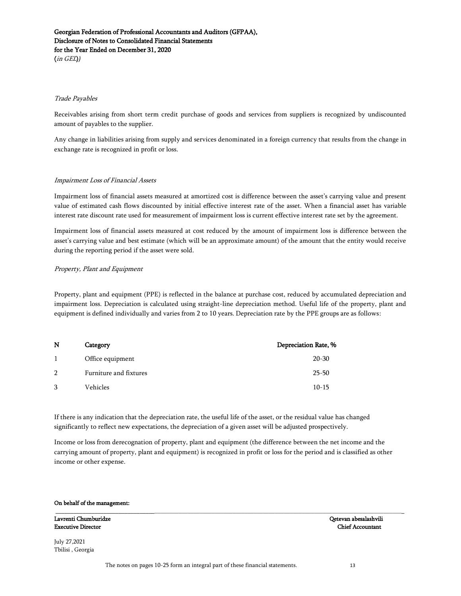(in GEL)*)*

#### Trade Payables

Receivables arising from short term credit purchase of goods and services from suppliers is recognized by undiscounted amount of payables to the supplier.

Any change in liabilities arising from supply and services denominated in a foreign currency that results from the change in exchange rate is recognized in profit or loss.

#### Impairment Loss of Financial Assets

Impairment loss of financial assets measured at amortized cost is difference between the asset"s carrying value and present value of estimated cash flows discounted by initial effective interest rate of the asset. When a financial asset has variable interest rate discount rate used for measurement of impairment loss is current effective interest rate set by the agreement.

Impairment loss of financial assets measured at cost reduced by the amount of impairment loss is difference between the asset"s carrying value and best estimate (which will be an approximate amount) of the amount that the entity would receive during the reporting period if the asset were sold.

#### Property, Plant and Equipment

Property, plant and equipment (PPE) is reflected in the balance at purchase cost, reduced by accumulated depreciation and impairment loss. Depreciation is calculated using straight-line depreciation method. Useful life of the property, plant and equipment is defined individually and varies from 2 to 10 years. Depreciation rate by the PPE groups are as follows:

| N             | Category               | Depreciation Rate, % |
|---------------|------------------------|----------------------|
|               | Office equipment       | $20 - 30$            |
| $\mathcal{L}$ | Furniture and fixtures | $25 - 50$            |
| 3             | Vehicles               | $10 - 15$            |

If there is any indication that the depreciation rate, the useful life of the asset, or the residual value has changed significantly to reflect new expectations, the depreciation of a given asset will be adjusted prospectively.

Income or loss from derecognation of property, plant and equipment (the difference between the net income and the carrying amount of property, plant and equipment) is recognized in profit or loss for the period and is classified as other income or other expense.

\_\_\_\_\_\_\_\_\_\_\_\_\_\_\_\_\_\_\_\_\_\_\_\_\_\_\_\_\_\_\_\_\_\_\_\_\_\_\_\_\_\_\_\_\_\_\_\_\_\_\_\_\_\_\_\_\_\_\_\_\_\_\_\_\_\_\_\_\_\_\_\_\_\_\_\_\_\_\_\_\_\_\_\_\_\_\_\_\_\_\_\_\_\_\_\_\_\_\_\_\_\_\_\_\_\_\_\_\_\_\_\_\_\_\_\_

#### On behalf of the management:

Lavrenti Chumburidze Qetevan abesalashvili Executive Director Chief Accountant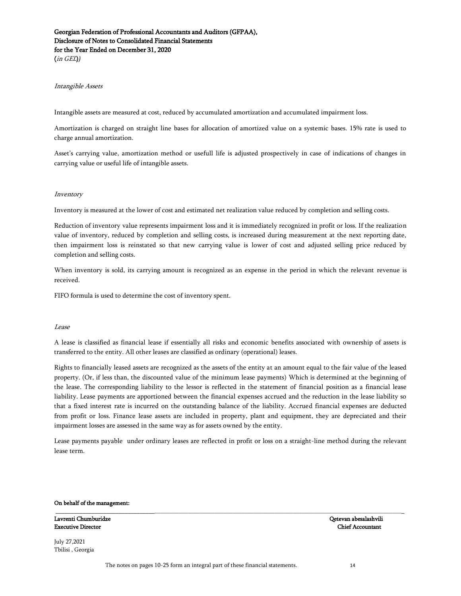(in GEL)*)*

#### Intangible Assets

Intangible assets are measured at cost, reduced by accumulated amortization and accumulated impairment loss.

Amortization is charged on straight line bases for allocation of amortized value on a systemic bases. 15% rate is used to charge annual amortization.

Asset"s carrying value, amortization method or usefull life is adjusted prospectively in case of indications of changes in carrying value or useful life of intangible assets.

#### Inventory

Inventory is measured at the lower of cost and estimated net realization value reduced by completion and selling costs.

Reduction of inventory value represents impairment loss and it is immediately recognized in profit or loss. If the realization value of inventory, reduced by completion and selling costs, is increased during measurement at the next reporting date, then impairment loss is reinstated so that new carrying value is lower of cost and adjusted selling price reduced by completion and selling costs.

When inventory is sold, its carrying amount is recognized as an expense in the period in which the relevant revenue is received.

FIFO formula is used to determine the cost of inventory spent.

#### Lease

A lease is classified as financial lease if essentially all risks and economic benefits associated with ownership of assets is transferred to the entity. All other leases are classified as ordinary (operational) leases.

Rights to financially leased assets are recognized as the assets of the entity at an amount equal to the fair value of the leased property. (Or, if less than, the discounted value of the minimum lease payments) Which is determined at the beginning of the lease. The corresponding liability to the lessor is reflected in the statement of financial position as a financial lease liability. Lease payments are apportioned between the financial expenses accrued and the reduction in the lease liability so that a fixed interest rate is incurred on the outstanding balance of the liability. Accrued financial expenses are deducted from profit or loss. Finance lease assets are included in property, plant and equipment, they are depreciated and their impairment losses are assessed in the same way as for assets owned by the entity.

Lease payments payable under ordinary leases are reflected in profit or loss on a straight-line method during the relevant lease term.

\_\_\_\_\_\_\_\_\_\_\_\_\_\_\_\_\_\_\_\_\_\_\_\_\_\_\_\_\_\_\_\_\_\_\_\_\_\_\_\_\_\_\_\_\_\_\_\_\_\_\_\_\_\_\_\_\_\_\_\_\_\_\_\_\_\_\_\_\_\_\_\_\_\_\_\_\_\_\_\_\_\_\_\_\_\_\_\_\_\_\_\_\_\_\_\_\_\_\_\_\_\_\_\_\_\_\_\_\_\_\_\_\_\_\_\_

#### On behalf of the management:

Lavrenti Chumburidze Qetevan abesalashvili Executive Director Chief Accountant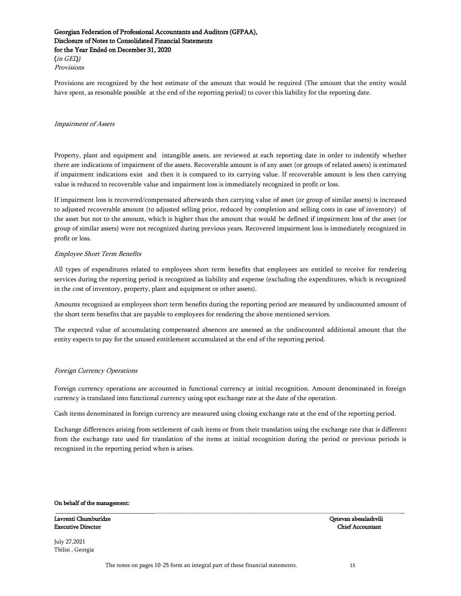(in GEL)*)* Provisions

Provisions are recognized by the best estimate of the amount that would be required (The amount that the entity would have spent, as resonable possible at the end of the reporting period) to cover this liability for the reporting date.

#### Impairment of Assets

Property, plant and equipment and intangible assets, are reviewed at each reporting date in order to indentify whether there are indications of impairment of the assets. Recoverable amount is of any asset (or groups of related assets) is estimated if impairment indications exist and then it is compared to its carrying value. If recoverable amount is less then carrying value is reduced to recoverable value and impairment loss is immediately recognized in profit or loss.

If impairment loss is recovered/compensated afterwards then carrying value of asset (or group of similar assets) is increased to adjusted recoverable amount (to adjusted selling price, reduced by completion and selling costs in case of inventory) of the asset but not to the amount, which is higher than the amount that would be defined if impairment loss of the asset (or group of similar assets) were not recognized during previous years. Recovered impairment loss is immediately recognized in profit or loss.

#### Employee Short Term Benefits

All types of expenditures related to employees short term benefits that employees are entitled to receive for rendering services during the reporting period is recognized as liability and expense (excluding the expenditures, which is recognized in the cost of inventory, property, plant and equipment or other assets).

Amounts recognized as employees short term benefits during the reporting period are measured by undiscounted amount of the short term benefits that are payable to employees for rendering the above mentioned services.

The expected value of accumulating compensated absences are assessed as the undiscounted additional amount that the entity expects to pay for the unused entitlement accumulated at the end of the reporting period.

#### Foreign Currency Operations

Foreign currency operations are accounted in functional currency at initial recognition. Amount denominated in foreign currency is translated into functional currency using spot exchange rate at the date of the operation.

Cash items denominated in foreign currency are measured using closing exchange rate at the end of the reporting period.

Exchange differences arising from settlement of cash items or from their translation using the exchange rate that is different from the exchange rate used for translation of the items at initial recognition during the period or previous periods is recognized in the reporting period when is arises.

\_\_\_\_\_\_\_\_\_\_\_\_\_\_\_\_\_\_\_\_\_\_\_\_\_\_\_\_\_\_\_\_\_\_\_\_\_\_\_\_\_\_\_\_\_\_\_\_\_\_\_\_\_\_\_\_\_\_\_\_\_\_\_\_\_\_\_\_\_\_\_\_\_\_\_\_\_\_\_\_\_\_\_\_\_\_\_\_\_\_\_\_\_\_\_\_\_\_\_\_\_\_\_\_\_\_\_\_\_\_\_\_\_\_\_\_

#### On behalf of the management:

Lavrenti Chumburidze Qetevan abesalashvili Executive Director Chief Accountant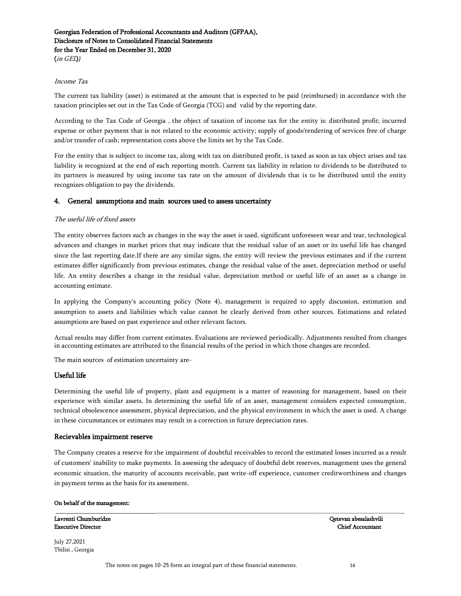(in GEL)*)*

#### Income Tax

The current tax liability (asset) is estimated at the amount that is expected to be paid (reimbursed) in accordance with the taxation principles set out in the Tax Code of Georgia (TCG) and valid by the reporting date.

According to the Tax Code of Georgia , the object of taxation of income tax for the entity is: distributed profit; incurred expense or other payment that is not related to the economic activity; supply of goods/rendering of services free of charge and/or transfer of cash; representation costs above the limits set by the Tax Code.

For the entity that is subject to income tax, along with tax on distributed profit, is taxed as soon as tax object arises and tax liability is recognized at the end of each reporting month. Current tax liability in relation to dividends to be distributed to its partners is measured by using income tax rate on the amount of dividends that is to be distributed until the entity recognizes obligation to pay the dividends.

#### 4. General assumptions and main sources used to assess uncertainty

#### The useful life of fixed assets

The entity observes factors such as changes in the way the asset is used, significant unforeseen wear and tear, technological advances and changes in market prices that may indicate that the residual value of an asset or its useful life has changed since the last reporting date.If there are any similar signs, the entity will review the previous estimates and if the current estimates differ significantly from previous estimates, change the residual value of the asset, depreciation method or useful life. An entity describes a change in the residual value, depreciation method or useful life of an asset as a change in accounting estimate.

In applying the Company's accounting policy (Note 4), management is required to apply discussion, estimation and assumption to assets and liabilities which value cannot be clearly derived from other sources. Estimations and related assumptions are based on past experience and other relevant factors.

Actual results may differ from current estimates. Evaluations are reviewed periodically. Adjustments resulted from changes in accounting estimates are attributed to the financial results of the period in which those changes are recorded.

The main sources of estimation uncertainty are-

#### Useful life

Determining the useful life of property, plant and equipment is a matter of reasoning for management, based on their experience with similar assets. In determining the useful life of an asset, management considers expected consumption, technical obsolescence assessment, physical depreciation, and the physical environment in which the asset is used. A change in these circumstances or estimates may result in a correction in future depreciation rates.

#### Recievables impairment reserve

The Company creates a reserve for the impairment of doubtful receivables to record the estimated losses incurred as a result of customers' inability to make payments. In assessing the adequacy of doubtful debt reserves, management uses the general economic situation, the maturity of accounts receivable, past write-off experience, customer creditworthiness and changes in payment terms as the basis for its assessment.

\_\_\_\_\_\_\_\_\_\_\_\_\_\_\_\_\_\_\_\_\_\_\_\_\_\_\_\_\_\_\_\_\_\_\_\_\_\_\_\_\_\_\_\_\_\_\_\_\_\_\_\_\_\_\_\_\_\_\_\_\_\_\_\_\_\_\_\_\_\_\_\_\_\_\_\_\_\_\_\_\_\_\_\_\_\_\_\_\_\_\_\_\_\_\_\_\_\_\_\_\_\_\_\_\_\_\_\_\_\_\_\_\_\_\_\_

#### On behalf of the management:

Lavrenti Chumburidze Qetevan abesalashvili Executive Director Chief Accountant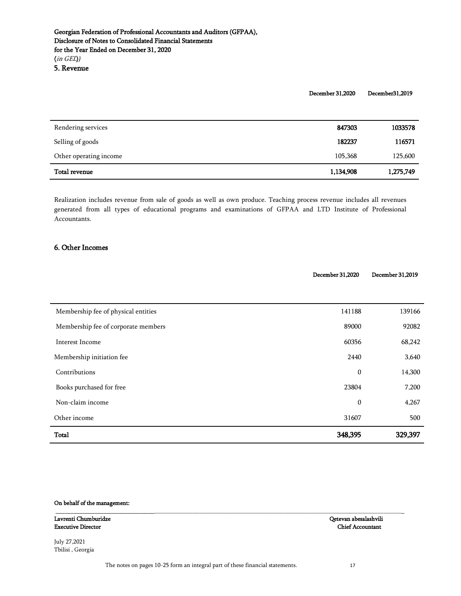December 31,2020 December31,2019

<span id="page-16-0"></span>

| Rendering services     | 847303    | 1033578   |
|------------------------|-----------|-----------|
| Selling of goods       | 182237    | 116571    |
| Other operating income | 105,368   | 125,600   |
| Total revenue          | 1,134,908 | 1,275,749 |

Realization includes revenue from sale of goods as well as own produce. Teaching process revenue includes all revenues generated from all types of educational programs and examinations of GFPAA and LTD Institute of Professional Accountants.

### <span id="page-16-1"></span>6. Other Incomes

|                                     | December 31,2020 | December 31,2019 |
|-------------------------------------|------------------|------------------|
|                                     |                  |                  |
| Membership fee of physical entities | 141188           | 139166           |
| Membership fee of corporate members | 89000            | 92082            |
| Interest Income                     | 60356            | 68,242           |
| Membership initiation fee           | 2440             | 3,640            |
| Contributions                       | $\boldsymbol{0}$ | 14,300           |
| Books purchased for free            | 23804            | 7,200            |
| Non-claim income                    | $\boldsymbol{0}$ | 4,267            |
| Other income                        | 31607            | 500              |
| Total                               | 348,395          | 329,397          |

\_\_\_\_\_\_\_\_\_\_\_\_\_\_\_\_\_\_\_\_\_\_\_\_\_\_\_\_\_\_\_\_\_\_\_\_\_\_\_\_\_\_\_\_\_\_\_\_\_\_\_\_\_\_\_\_\_\_\_\_\_\_\_\_\_\_\_\_\_\_\_\_\_\_\_\_\_\_\_\_\_\_\_\_\_\_\_\_\_\_\_\_\_\_\_\_\_\_\_\_\_\_\_\_\_\_\_\_\_\_\_\_\_\_\_\_

#### On behalf of the management:

Lavrenti Chumburidze Qetevan abesalashvili Executive Director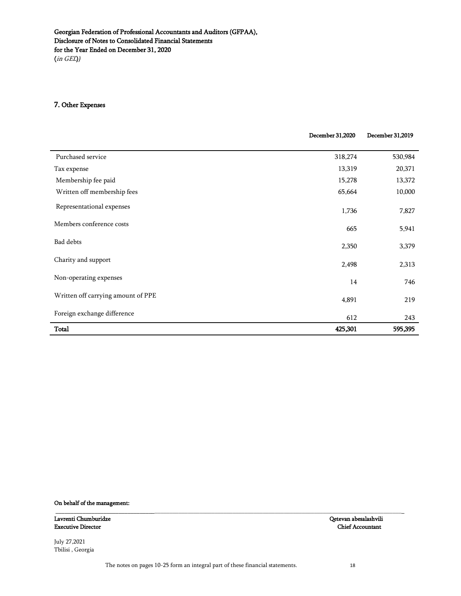### <span id="page-17-0"></span>7. Other Expenses

|                                    | December 31,2020 | December 31,2019 |
|------------------------------------|------------------|------------------|
| Purchased service                  | 318,274          | 530,984          |
| Tax expense                        | 13,319           | 20,371           |
| Membership fee paid                | 15,278           | 13,372           |
| Written off membership fees        | 65,664           | 10,000           |
| Representational expenses          | 1,736            | 7,827            |
| Members conference costs           | 665              | 5,941            |
| Bad debts                          | 2,350            | 3,379            |
| Charity and support                | 2,498            | 2,313            |
| Non-operating expenses             | 14               | 746              |
| Written off carrying amount of PPE | 4,891            | 219              |
| Foreign exchange difference        | 612              | 243              |
| <b>Total</b>                       | 425,301          | 595,395          |

#### On behalf of the management:

Lavrenti Chumburidze Qetevan abesalashvili Executive Director

July 27,2021 Tbilisi , Georgia

\_\_\_\_\_\_\_\_\_\_\_\_\_\_\_\_\_\_\_\_\_\_\_\_\_\_\_\_\_\_\_\_\_\_\_\_\_\_\_\_\_\_\_\_\_\_\_\_\_\_\_\_\_\_\_\_\_\_\_\_\_\_\_\_\_\_\_\_\_\_\_\_\_\_\_\_\_\_\_\_\_\_\_\_\_\_\_\_\_\_\_\_\_\_\_\_\_\_\_\_\_\_\_\_\_\_\_\_\_\_\_\_\_\_\_\_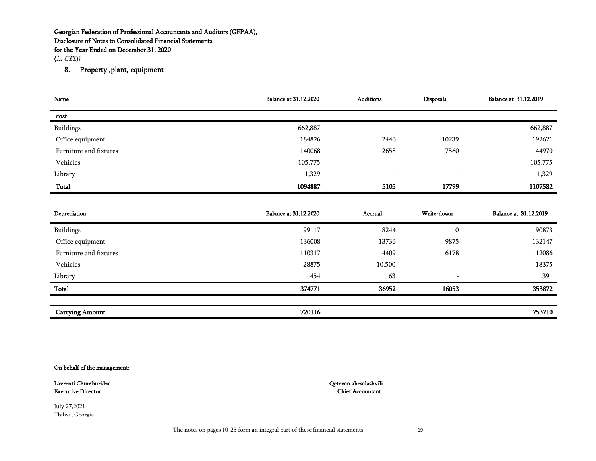(in GEL)*)*

# 8. Property ,plant, equipment

| Name                   | <b>Balance at 31.12.2020</b> | <b>Additions</b>         | Disposals                | Balance at 31.12.2019 |
|------------------------|------------------------------|--------------------------|--------------------------|-----------------------|
| cost                   |                              |                          |                          |                       |
| Buildings              | 662,887                      | $\overline{\phantom{0}}$ | $\overline{\phantom{a}}$ | 662,887               |
| Office equipment       | 184826                       | 2446                     | 10239                    | 192621                |
| Furniture and fixtures | 140068                       | 2658                     | 7560                     | 144970                |
| Vehicles               | 105,775                      | $\overline{\phantom{a}}$ | $\overline{\phantom{a}}$ | 105,775               |
| Library                | 1,329                        | $\overline{\phantom{0}}$ | $\overline{\phantom{m}}$ | 1,329                 |
| Total                  | 1094887                      | 5105                     | 17799                    | 1107582               |
|                        |                              |                          |                          |                       |

<span id="page-18-0"></span>

| Depreciation           | <b>Balance at 31.12.2020</b> | Accrual | <b>Write-down</b>        | Balance at 31.12.2019 |
|------------------------|------------------------------|---------|--------------------------|-----------------------|
| Buildings              | 99117                        | 8244    | 0                        | 90873                 |
| Office equipment       | 136008                       | 13736   | 9875                     | 132147                |
| Furniture and fixtures | 110317                       | 4409    | 6178                     | 112086                |
| Vehicles               | 28875                        | 10,500  | $\qquad \qquad$          | 18375                 |
| Library                | 454                          | 63      | $\overline{\phantom{a}}$ | 391                   |
| Total                  | 374771                       | 36952   | 16053                    | 353872                |
|                        |                              |         |                          |                       |
| <b>Carrying Amount</b> | 720116                       |         |                          | 753710                |

#### On behalf of the management:

Executive Director

Lavrenti Chumburidze Qetevan abesalashvili

July 27,2021 Tbilisi , Georgia

\_\_\_\_\_\_\_\_\_\_\_\_\_\_\_\_\_\_\_\_\_\_\_\_\_\_\_\_\_\_\_\_\_\_\_\_\_\_\_\_\_\_\_\_\_\_\_\_\_\_\_\_\_\_\_\_\_\_\_\_\_\_\_\_\_\_\_\_\_\_\_\_\_\_\_\_\_\_\_\_\_\_\_\_\_\_\_\_\_\_\_\_\_\_\_\_\_\_\_\_\_\_\_\_\_\_\_\_\_\_\_\_\_\_\_\_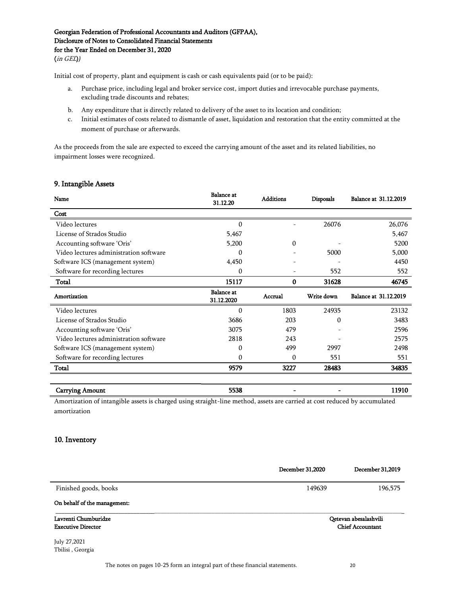(in GEL)*)*

Initial cost of property, plant and equipment is cash or cash equivalents paid (or to be paid):

- a. Purchase price, including legal and broker service cost, import duties and irrevocable purchase payments, excluding trade discounts and rebates;
- b. Any expenditure that is directly related to delivery of the asset to its location and condition;
- c. Initial estimates of costs related to dismantle of asset, liquidation and restoration that the entity committed at the moment of purchase or afterwards.

<span id="page-19-0"></span>As the proceeds from the sale are expected to exceed the carrying amount of the asset and its related liabilities, no impairment losses were recognized.

### 9. Intangible Assets

| Name                                   | <b>Balance</b> at<br>31.12.20   | <b>Additions</b> | Disposals  | <b>Balance at 31.12.2019</b> |
|----------------------------------------|---------------------------------|------------------|------------|------------------------------|
| Cost                                   |                                 |                  |            |                              |
| Video lectures                         | 0                               |                  | 26076      | 26,076                       |
| License of Strados Studio              | 5,467                           |                  |            | 5,467                        |
| Accounting software 'Oris'             | 5,200                           | $\Omega$         |            | 5200                         |
| Video lectures administration software | 0                               |                  | 5000       | 5,000                        |
| Software ICS (management system)       | 4,450                           |                  |            | 4450                         |
| Software for recording lectures        | 0                               |                  | 552        | 552                          |
| Total                                  | 15117                           | 0                | 31628      | 46745                        |
|                                        |                                 |                  |            |                              |
| Amortization                           | <b>Balance</b> at<br>31.12.2020 | Accrual          | Write down | Balance at 31.12.2019        |
| Video lectures                         | $\Omega$                        | 1803             | 24935      | 23132                        |
| License of Strados Studio              | 3686                            | 203              | $\Omega$   | 3483                         |
| Accounting software 'Oris'             | 3075                            | 479              |            | 2596                         |
| Video lectures administration software | 2818                            | 243              |            | 2575                         |
| Software ICS (management system)       | 0                               | 499              | 2997       | 2498                         |
| Software for recording lectures        | $\Omega$                        | $\Omega$         | 551        | 551                          |
| Total                                  | 9579                            | 3227             | 28483      | 34835                        |

| <b>Carrying Amount</b>                                                                                                     | 5538 |  |  |
|----------------------------------------------------------------------------------------------------------------------------|------|--|--|
| Amortization of intensible assets is charged using straight-line method, assets are carried at cost reduced by accumulated |      |  |  |

<span id="page-19-1"></span>Amortization of intangible assets is charged using straight-line method, assets are carried at cost reduced by accumulated amortization

### 10. Inventory

|                              | December 31,2020 | December 31,2019        |
|------------------------------|------------------|-------------------------|
| Finished goods, books        | 149639           | 196,575                 |
| On behalf of the management: |                  |                         |
| Lavrenti Chumburidze         |                  | Qetevan abesalashvili   |
| <b>Executive Director</b>    |                  | <b>Chief Accountant</b> |
| July 27,2021                 |                  |                         |
| Tbilisi, Georgia             |                  |                         |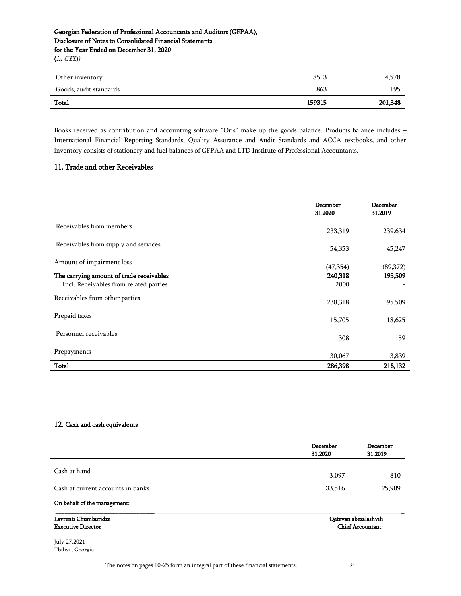(in GEL)*)*

| 159315 | 201,348 |
|--------|---------|
| 863    | 195     |
| 8513   | 4,578   |
|        |         |

Books received as contribution and accounting software "Oris" make up the goods balance. Products balance includes – International Financial Reporting Standards, Quality Assurance and Audit Standards and ACCA textbooks, and other inventory consists of stationery and fuel balances of GFPAA and LTD Institute of Professional Accountants.

# <span id="page-20-0"></span>11. Trade and other Receivables

|                                                                                    | December<br>31,2020 | December<br>31,2019 |
|------------------------------------------------------------------------------------|---------------------|---------------------|
| Receivables from members                                                           | 233,319             | 239,634             |
| Receivables from supply and services                                               | 54,353              | 45,247              |
| Amount of impairment loss                                                          | (47,354)            | (89,372)            |
| The carrying amount of trade receivables<br>Incl. Receivables from related parties | 240,318<br>2000     | 195,509             |
| Receivables from other parties                                                     | 238,318             | 195,509             |
| Prepaid taxes                                                                      | 15,705              | 18,625              |
| Personnel receivables                                                              | 308                 | 159                 |
| Prepayments                                                                        | 30,067              | 3,839               |
| Total                                                                              | 286,398             | 218,132             |

### <span id="page-20-1"></span>12. Cash and cash equivalents

|                                                   | December<br>31,2020 | December<br>31,2019                              |
|---------------------------------------------------|---------------------|--------------------------------------------------|
| Cash at hand                                      |                     |                                                  |
|                                                   | 3,097               | 810                                              |
| Cash at current accounts in banks                 | 33,516              | 25,909                                           |
| On behalf of the management:                      |                     |                                                  |
| Lavrenti Chumburidze<br><b>Executive Director</b> |                     | Qetevan abesalashvili<br><b>Chief Accountant</b> |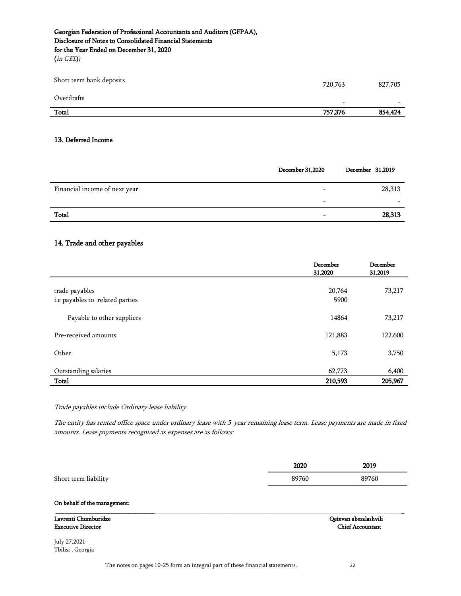(in GEL)*)*

| Short term bank deposits | 720,763                  | 827,705                  |
|--------------------------|--------------------------|--------------------------|
| Overdrafts               | $\overline{\phantom{a}}$ | $\overline{\phantom{0}}$ |
| Total                    | 757,376                  | 854,424                  |

#### <span id="page-21-0"></span>13. Deferred Income

|                               | December 31,2020         | December 31,2019 |
|-------------------------------|--------------------------|------------------|
| Financial income of next year | $\overline{\phantom{a}}$ | 28,313           |
|                               | $\overline{\phantom{a}}$ | -                |
| Total                         | $\overline{\phantom{0}}$ | 28,313           |

### <span id="page-21-1"></span>14. Trade and other payables

|                                                   | December<br>31,2020 | December<br>31,2019 |
|---------------------------------------------------|---------------------|---------------------|
| trade payables<br>i.e payables to related parties | 20,764<br>5900      | 73,217              |
| Payable to other suppliers                        | 14864               | 73,217              |
| Pre-received amounts                              | 121,883             | 122,600             |
| Other                                             | 5,173               | 3,750               |
| Outstanding salaries                              | 62,773              | 6,400               |
| Total                                             | 210,593             | 205,967             |

Trade payables include Ordinary lease liability

The entity has rented office space under ordinary lease with 5-year remaining lease term. Lease payments are made in fixed amounts. Lease payments recognized as expenses are as follows:

|                      | 2020  | 2019  |
|----------------------|-------|-------|
| Short term liability | 89760 | 89760 |

#### On behalf of the management:

| Lavrenti Chumburidze      | Oetevan abesalashvili |
|---------------------------|-----------------------|
| <b>Executive Director</b> | Chief Accountant      |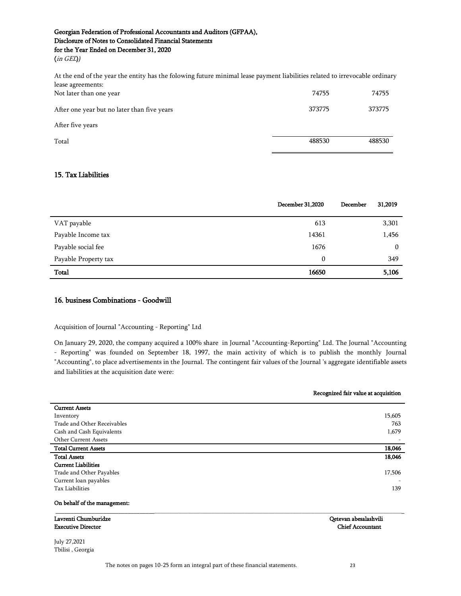(in GEL)*)*

At the end of the year the entity has the folowing future minimal lease payment liabilities related to irrevocable ordinary lease agreements:

| Not later than one year                     | 74755  | 74755  |
|---------------------------------------------|--------|--------|
| After one year but no later than five years | 373775 | 373775 |
| After five years                            |        |        |
| Total                                       | 488530 | 488530 |

# <span id="page-22-0"></span>15. Tax Liabilities

|                      | <b>December 31,2020</b> | December | 31,2019      |
|----------------------|-------------------------|----------|--------------|
| VAT payable          | 613                     |          | 3,301        |
| Payable Income tax   | 14361                   |          | 1,456        |
| Payable social fee   | 1676                    |          | $\mathbf{0}$ |
| Payable Property tax | 0                       |          | 349          |
| Total                | 16650                   |          | 5,106        |

### <span id="page-22-1"></span>16. business Combinations - Goodwill

### Acquisition of Journal "Accounting - Reporting" Ltd

On January 29, 2020, the company acquired a 100% share in Journal "Accounting-Reporting" Ltd. The Journal "Accounting - Reporting" was founded on September 18, 1997, the main activity of which is to publish the monthly Journal "Accounting", to place advertisements in the Journal. The contingent fair values of the Journal 's aggregate identifiable assets and liabilities at the acquisition date were:

|                              | Recognized fair value at acquisition |  |
|------------------------------|--------------------------------------|--|
| <b>Current Assets</b>        |                                      |  |
| Inventory                    | 15,605                               |  |
| Trade and Other Receivables  | 763                                  |  |
| Cash and Cash Equivalents    | 1,679                                |  |
| Other Current Assets         |                                      |  |
| <b>Total Current Assets</b>  | 18,046                               |  |
| <b>Total Assets</b>          | 18,046                               |  |
| <b>Current Liabilities</b>   |                                      |  |
| Trade and Other Payables     | 17,506                               |  |
| Current loan payables        |                                      |  |
| <b>Tax Liabilities</b>       | 139                                  |  |
| On behalf of the management: |                                      |  |
| Lavrenti Chumburidze         | Qetevan abesalashvili                |  |
| <b>Executive Director</b>    | <b>Chief Accountant</b>              |  |
| July 27,2021                 |                                      |  |
| Tbilisi, Georgia             |                                      |  |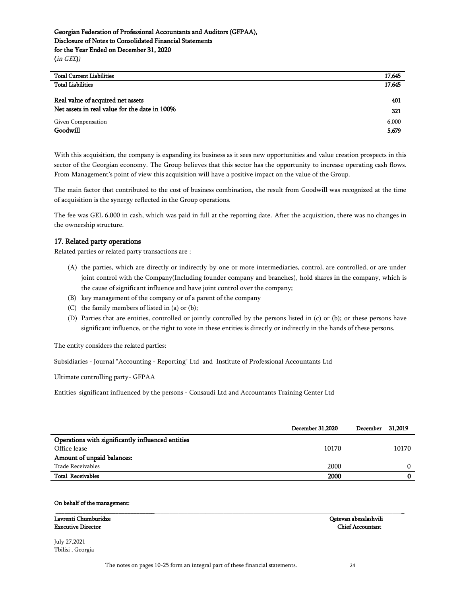| <b>Total Current Liabilities</b>              | 17,645 |
|-----------------------------------------------|--------|
| <b>Total Liabilities</b>                      | 17,645 |
|                                               |        |
| Real value of acquired net assets             | 401    |
| Net assets in real value for the date in 100% | 321    |
| Given Compensation                            | 6,000  |
| Goodwill                                      | 5,679  |

With this acquisition, the company is expanding its business as it sees new opportunities and value creation prospects in this sector of the Georgian economy. The Group believes that this sector has the opportunity to increase operating cash flows. From Management's point of view this acquisition will have a positive impact on the value of the Group.

The main factor that contributed to the cost of business combination, the result from Goodwill was recognized at the time of acquisition is the synergy reflected in the Group operations.

The fee was GEL 6,000 in cash, which was paid in full at the reporting date. After the acquisition, there was no changes in the ownership structure.

### <span id="page-23-0"></span>17. Related party operations

Related parties or related party transactions are :

- (A) the parties, which are directly or indirectly by one or more intermediaries, control, are controlled, or are under joint control with the Company(Including founder company and branches), hold shares in the company, which is the cause of significant influence and have joint control over the company;
- (B) key management of the company or of a parent of the company
- (C) the family members of listed in (a) or (b);
- (D) Parties that are entities, controlled or jointly controlled by the persons listed in (c) or (b); or these persons have significant influence, or the right to vote in these entities is directly or indirectly in the hands of these persons.

The entity considers the related parties:

Subsidiaries - Journal "Accounting - Reporting" Ltd and Institute of Professional Accountants Ltd

Ultimate controlling party- GFPAA

Entities significant influenced by the persons - Consaudi Ltd and Accountants Training Center Ltd

|                                                   | <b>December 31,2020</b> | December 31,2019 |       |
|---------------------------------------------------|-------------------------|------------------|-------|
| Operations with significantly influenced entities |                         |                  |       |
| Office lease                                      | 10170                   |                  | 10170 |
| Amount of unpaid balances:                        |                         |                  |       |
| Trade Receivables                                 | 2000                    |                  |       |
| <b>Total Receivables</b>                          | 2000                    |                  |       |

\_\_\_\_\_\_\_\_\_\_\_\_\_\_\_\_\_\_\_\_\_\_\_\_\_\_\_\_\_\_\_\_\_\_\_\_\_\_\_\_\_\_\_\_\_\_\_\_\_\_\_\_\_\_\_\_\_\_\_\_\_\_\_\_\_\_\_\_\_\_\_\_\_\_\_\_\_\_\_\_\_\_\_\_\_\_\_\_\_\_\_\_\_\_\_\_\_\_\_\_\_\_\_\_\_\_\_\_\_\_\_\_\_\_\_\_

#### On behalf of the management:

Lavrenti Chumburidze Qetevan abesalashvili Executive Director Chief Accountant